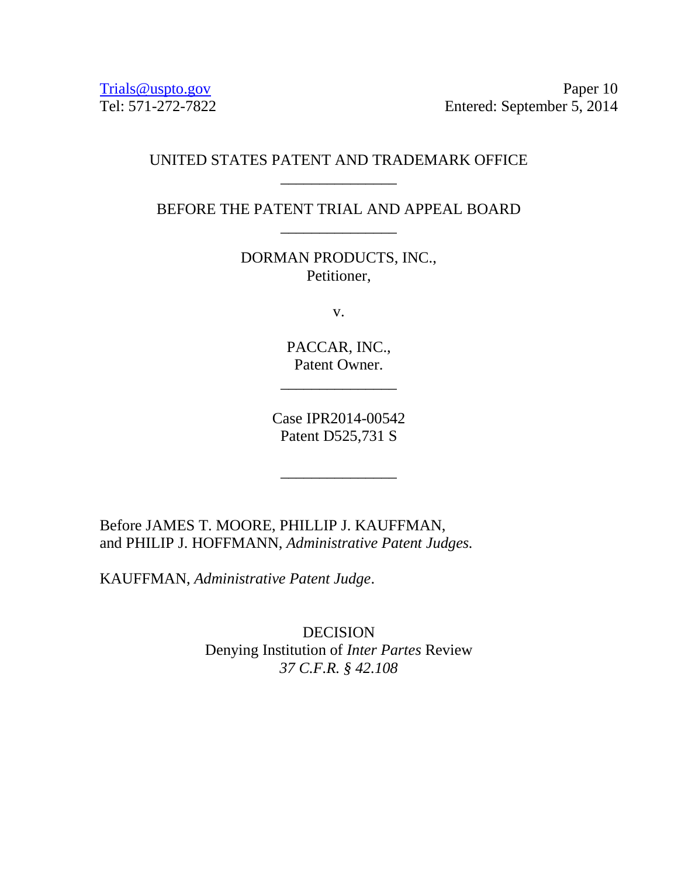Trials @uspto.gov Paper 10<br>Tel: 571-272-7822 Paper 10<br>Entered: September 5, 2014 Entered: September 5, 2014

# UNITED STATES PATENT AND TRADEMARK OFFICE \_\_\_\_\_\_\_\_\_\_\_\_\_\_\_

BEFORE THE PATENT TRIAL AND APPEAL BOARD \_\_\_\_\_\_\_\_\_\_\_\_\_\_\_

> DORMAN PRODUCTS, INC., Petitioner,

> > v.

PACCAR, INC., Patent Owner.

\_\_\_\_\_\_\_\_\_\_\_\_\_\_\_

Case IPR2014-00542 Patent D525,731 S

\_\_\_\_\_\_\_\_\_\_\_\_\_\_\_

Before JAMES T. MOORE, PHILLIP J. KAUFFMAN, and PHILIP J. HOFFMANN, *Administrative Patent Judges.*

KAUFFMAN, *Administrative Patent Judge*.

DECISION Denying Institution of *Inter Partes* Review *37 C.F.R. § 42.108*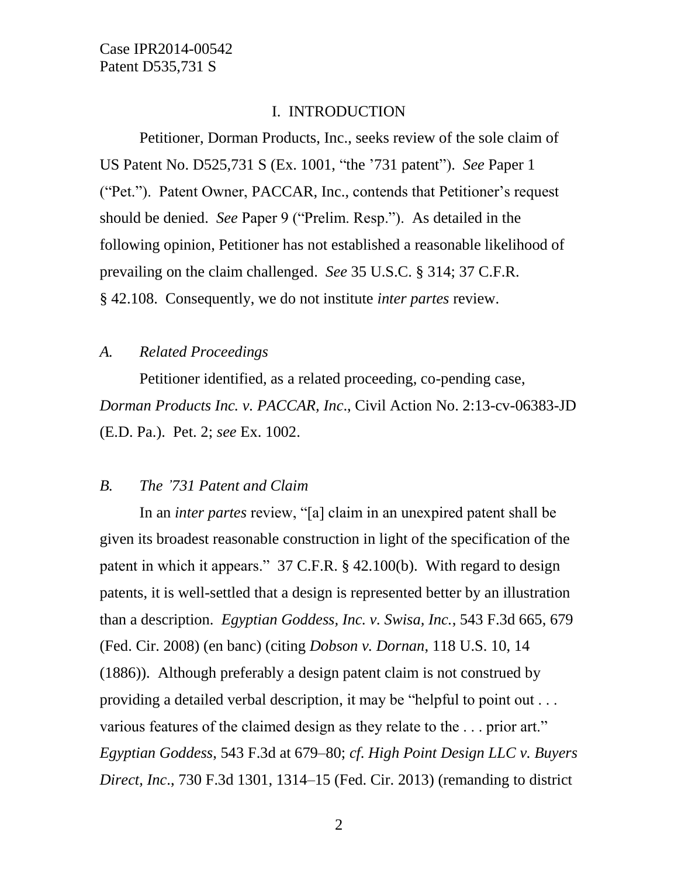### I. INTRODUCTION

Petitioner, Dorman Products, Inc., seeks review of the sole claim of US Patent No. D525,731 S (Ex. 1001, "the '731 patent"). *See* Paper 1 ("Pet."). Patent Owner, PACCAR, Inc., contends that Petitioner's request should be denied. *See* Paper 9 ("Prelim. Resp."). As detailed in the following opinion, Petitioner has not established a reasonable likelihood of prevailing on the claim challenged. *See* 35 U.S.C. § 314; 37 C.F.R. § 42.108. Consequently, we do not institute *inter partes* review.

### *A. Related Proceedings*

Petitioner identified, as a related proceeding, co-pending case, *Dorman Products Inc. v. PACCAR, Inc*., Civil Action No. 2:13-cv-06383-JD (E.D. Pa.). Pet. 2; *see* Ex. 1002.

## *B. The '731 Patent and Claim*

In an *inter partes* review, "[a] claim in an unexpired patent shall be given its broadest reasonable construction in light of the specification of the patent in which it appears." 37 C.F.R. § 42.100(b). With regard to design patents, it is well-settled that a design is represented better by an illustration than a description. *Egyptian Goddess, Inc. v. Swisa, Inc.*, 543 F.3d 665, 679 (Fed. Cir. 2008) (en banc) (citing *Dobson v. Dornan*, 118 U.S. 10, 14 (1886)). Although preferably a design patent claim is not construed by providing a detailed verbal description, it may be "helpful to point out . . . various features of the claimed design as they relate to the . . . prior art." *Egyptian Goddess*, 543 F.3d at 679–80; *cf*. *High Point Design LLC v. Buyers Direct, Inc*., 730 F.3d 1301, 1314–15 (Fed. Cir. 2013) (remanding to district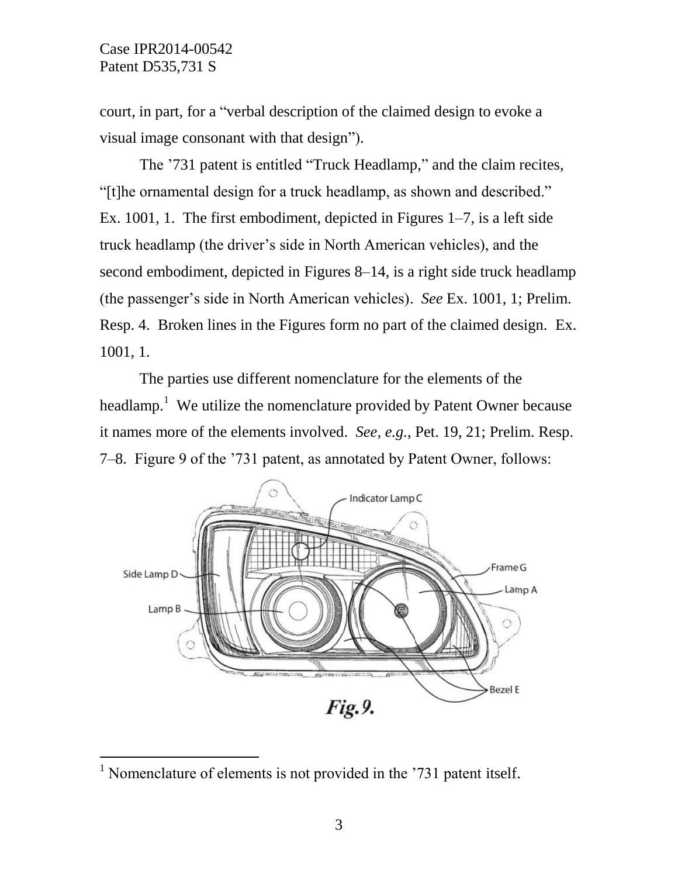court, in part, for a "verbal description of the claimed design to evoke a visual image consonant with that design").

The '731 patent is entitled "Truck Headlamp," and the claim recites, "[t]he ornamental design for a truck headlamp, as shown and described." Ex. 1001, 1. The first embodiment, depicted in Figures 1–7, is a left side truck headlamp (the driver's side in North American vehicles), and the second embodiment, depicted in Figures 8–14, is a right side truck headlamp (the passenger's side in North American vehicles). *See* Ex. 1001, 1; Prelim. Resp. 4. Broken lines in the Figures form no part of the claimed design. Ex. 1001, 1.

The parties use different nomenclature for the elements of the headlamp.<sup>1</sup> We utilize the nomenclature provided by Patent Owner because it names more of the elements involved. *See, e.g.*, Pet. 19, 21; Prelim. Resp. 7–8. Figure 9 of the '731 patent, as annotated by Patent Owner, follows:



l <sup>1</sup> Nomenclature of elements is not provided in the  $'731$  patent itself.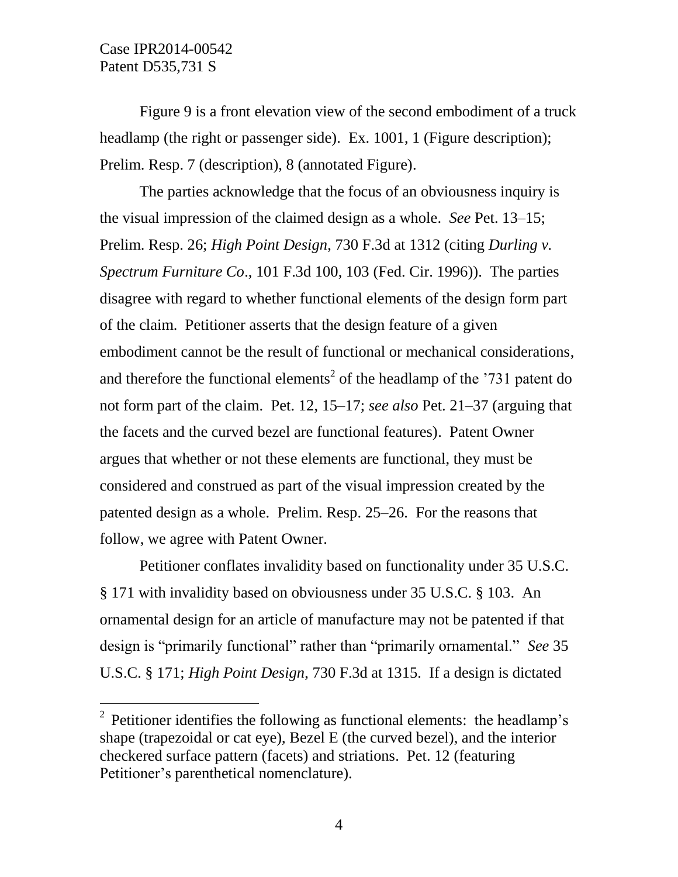$\overline{a}$ 

Figure 9 is a front elevation view of the second embodiment of a truck headlamp (the right or passenger side). Ex. 1001, 1 (Figure description); Prelim. Resp. 7 (description), 8 (annotated Figure).

The parties acknowledge that the focus of an obviousness inquiry is the visual impression of the claimed design as a whole. *See* Pet. 13–15; Prelim. Resp. 26; *High Point Design*, 730 F.3d at 1312 (citing *Durling v. Spectrum Furniture Co*., 101 F.3d 100, 103 (Fed. Cir. 1996)). The parties disagree with regard to whether functional elements of the design form part of the claim. Petitioner asserts that the design feature of a given embodiment cannot be the result of functional or mechanical considerations, and therefore the functional elements<sup>2</sup> of the headlamp of the  $'731$  patent do not form part of the claim. Pet. 12, 15–17; *see also* Pet. 21–37 (arguing that the facets and the curved bezel are functional features). Patent Owner argues that whether or not these elements are functional, they must be considered and construed as part of the visual impression created by the patented design as a whole. Prelim. Resp. 25–26. For the reasons that follow, we agree with Patent Owner.

Petitioner conflates invalidity based on functionality under 35 U.S.C. § 171 with invalidity based on obviousness under 35 U.S.C. § 103. An ornamental design for an article of manufacture may not be patented if that design is "primarily functional" rather than "primarily ornamental." *See* 35 U.S.C. § 171; *High Point Design*, 730 F.3d at 1315. If a design is dictated

<sup>&</sup>lt;sup>2</sup> Petitioner identifies the following as functional elements: the headlamp's shape (trapezoidal or cat eye), Bezel E (the curved bezel), and the interior checkered surface pattern (facets) and striations. Pet. 12 (featuring Petitioner's parenthetical nomenclature).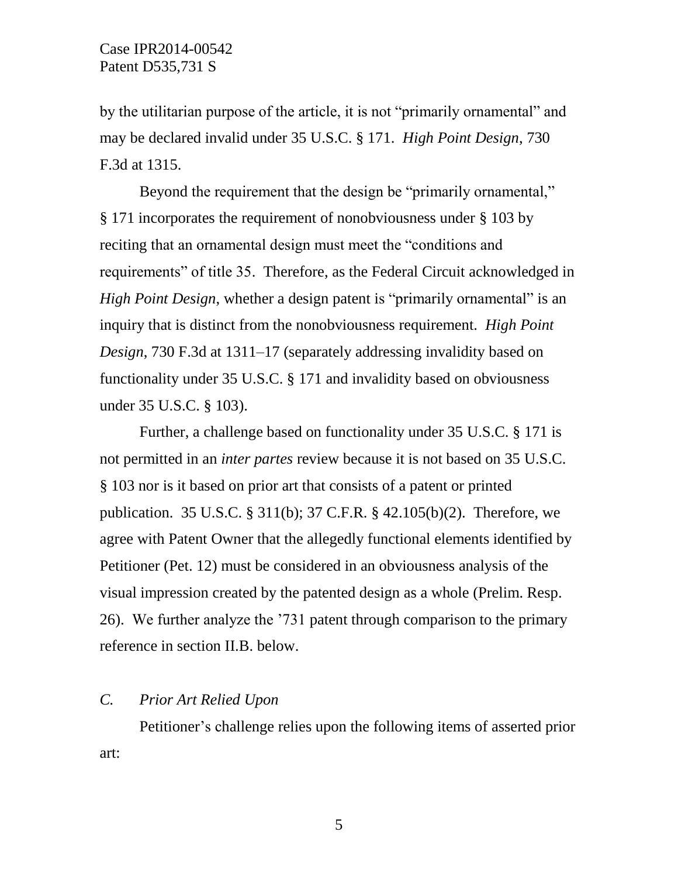by the utilitarian purpose of the article, it is not "primarily ornamental" and may be declared invalid under 35 U.S.C. § 171. *High Point Design*, 730 F.3d at 1315.

Beyond the requirement that the design be "primarily ornamental," § 171 incorporates the requirement of nonobviousness under § 103 by reciting that an ornamental design must meet the "conditions and requirements" of title 35. Therefore, as the Federal Circuit acknowledged in *High Point Design*, whether a design patent is "primarily ornamental" is an inquiry that is distinct from the nonobviousness requirement. *High Point Design*, 730 F.3d at 1311–17 (separately addressing invalidity based on functionality under 35 U.S.C. § 171 and invalidity based on obviousness under 35 U.S.C. § 103).

Further, a challenge based on functionality under 35 U.S.C. § 171 is not permitted in an *inter partes* review because it is not based on 35 U.S.C. § 103 nor is it based on prior art that consists of a patent or printed publication. 35 U.S.C. § 311(b); 37 C.F.R. § 42.105(b)(2). Therefore, we agree with Patent Owner that the allegedly functional elements identified by Petitioner (Pet. 12) must be considered in an obviousness analysis of the visual impression created by the patented design as a whole (Prelim. Resp. 26). We further analyze the '731 patent through comparison to the primary reference in section II.B. below.

## *C. Prior Art Relied Upon*

Petitioner's challenge relies upon the following items of asserted prior art: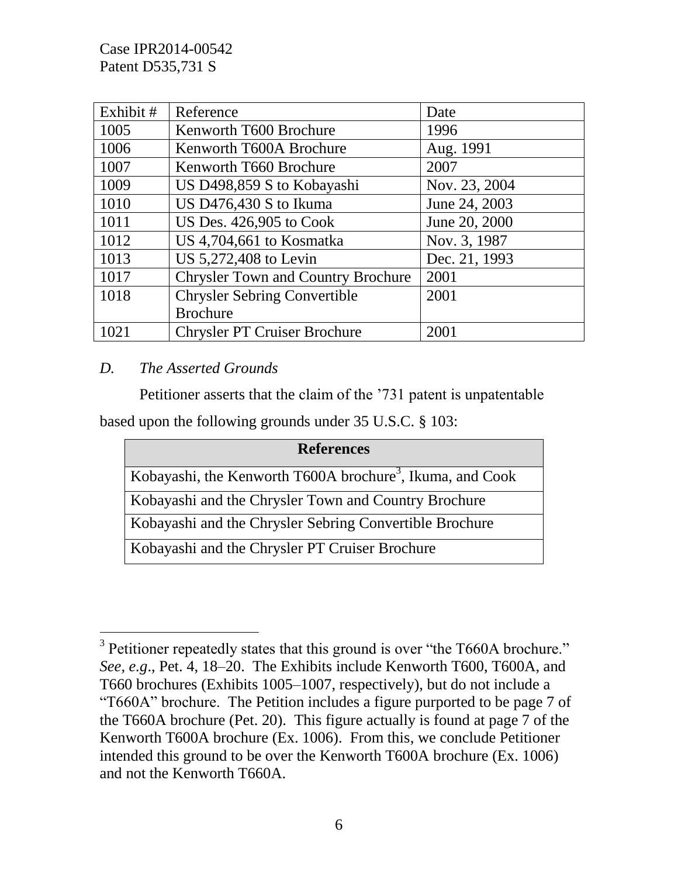Case IPR2014-00542 Patent D535,731 S

| Exhibit # | Reference                                 | Date          |
|-----------|-------------------------------------------|---------------|
| 1005      | Kenworth T600 Brochure                    | 1996          |
| 1006      | Kenworth T600A Brochure                   | Aug. 1991     |
| 1007      | Kenworth T660 Brochure                    | 2007          |
| 1009      | US D498,859 S to Kobayashi                | Nov. 23, 2004 |
| 1010      | US D476,430 S to Ikuma                    | June 24, 2003 |
| 1011      | US Des. 426,905 to Cook                   | June 20, 2000 |
| 1012      | US 4,704,661 to Kosmatka                  | Nov. 3, 1987  |
| 1013      | US 5,272,408 to Levin                     | Dec. 21, 1993 |
| 1017      | <b>Chrysler Town and Country Brochure</b> | 2001          |
| 1018      | <b>Chrysler Sebring Convertible</b>       | 2001          |
|           | <b>Brochure</b>                           |               |
| 1021      | <b>Chrysler PT Cruiser Brochure</b>       | 2001          |

# *D. The Asserted Grounds*

 $\overline{a}$ 

Petitioner asserts that the claim of the '731 patent is unpatentable based upon the following grounds under 35 U.S.C. § 103:

| <b>References</b>                                                     |  |  |
|-----------------------------------------------------------------------|--|--|
| Kobayashi, the Kenworth T600A brochure <sup>3</sup> , Ikuma, and Cook |  |  |
| Kobayashi and the Chrysler Town and Country Brochure                  |  |  |
| Kobayashi and the Chrysler Sebring Convertible Brochure               |  |  |
| Kobayashi and the Chrysler PT Cruiser Brochure                        |  |  |

<sup>&</sup>lt;sup>3</sup> Petitioner repeatedly states that this ground is over "the T660A brochure." *See, e.g*., Pet. 4, 18–20. The Exhibits include Kenworth T600, T600A, and T660 brochures (Exhibits 1005–1007, respectively), but do not include a "T660A" brochure. The Petition includes a figure purported to be page 7 of the T660A brochure (Pet. 20). This figure actually is found at page 7 of the Kenworth T600A brochure (Ex. 1006). From this, we conclude Petitioner intended this ground to be over the Kenworth T600A brochure (Ex. 1006) and not the Kenworth T660A.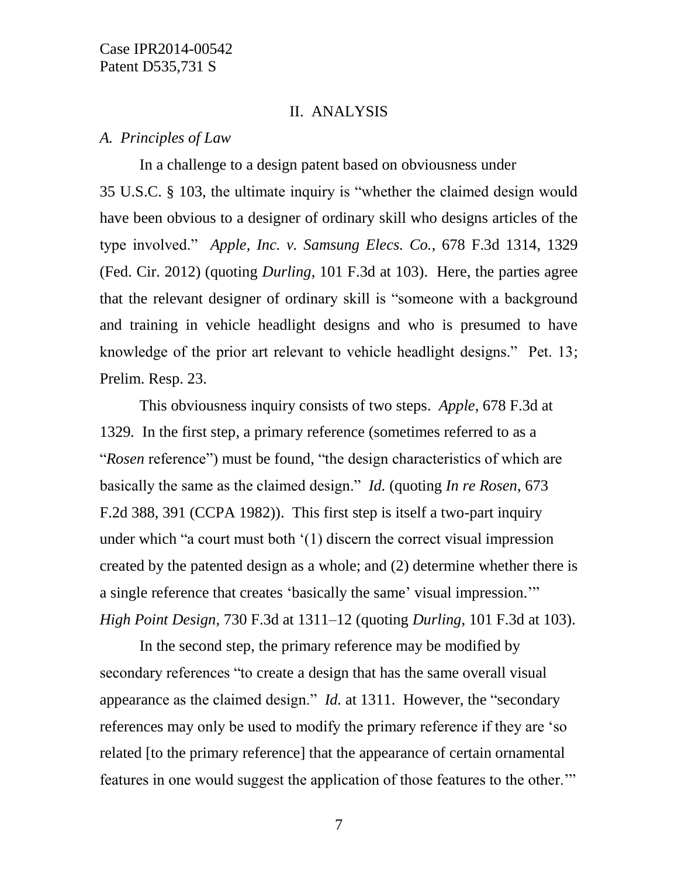### II. ANALYSIS

#### *A. Principles of Law*

In a challenge to a design patent based on obviousness under 35 U.S.C. § 103, the ultimate inquiry is "whether the claimed design would have been obvious to a designer of ordinary skill who designs articles of the type involved." *Apple, Inc. v. Samsung Elecs. Co.*, 678 F.3d 1314, 1329 (Fed. Cir. 2012) (quoting *Durling*, 101 F.3d at 103). Here, the parties agree that the relevant designer of ordinary skill is "someone with a background and training in vehicle headlight designs and who is presumed to have knowledge of the prior art relevant to vehicle headlight designs." Pet. 13; Prelim. Resp. 23.

This obviousness inquiry consists of two steps. *Apple*, 678 F.3d at 1329*.* In the first step, a primary reference (sometimes referred to as a "*Rosen* reference") must be found, "the design characteristics of which are basically the same as the claimed design." *Id.* (quoting *In re Rosen*, 673 F.2d 388, 391 (CCPA 1982)). This first step is itself a two-part inquiry under which "a court must both '(1) discern the correct visual impression created by the patented design as a whole; and (2) determine whether there is a single reference that creates 'basically the same' visual impression.'" *High Point Design*, 730 F.3d at 1311–12 (quoting *Durling*, 101 F.3d at 103).

In the second step, the primary reference may be modified by secondary references "to create a design that has the same overall visual appearance as the claimed design." *Id.* at 1311. However, the "secondary references may only be used to modify the primary reference if they are 'so related [to the primary reference] that the appearance of certain ornamental features in one would suggest the application of those features to the other.'"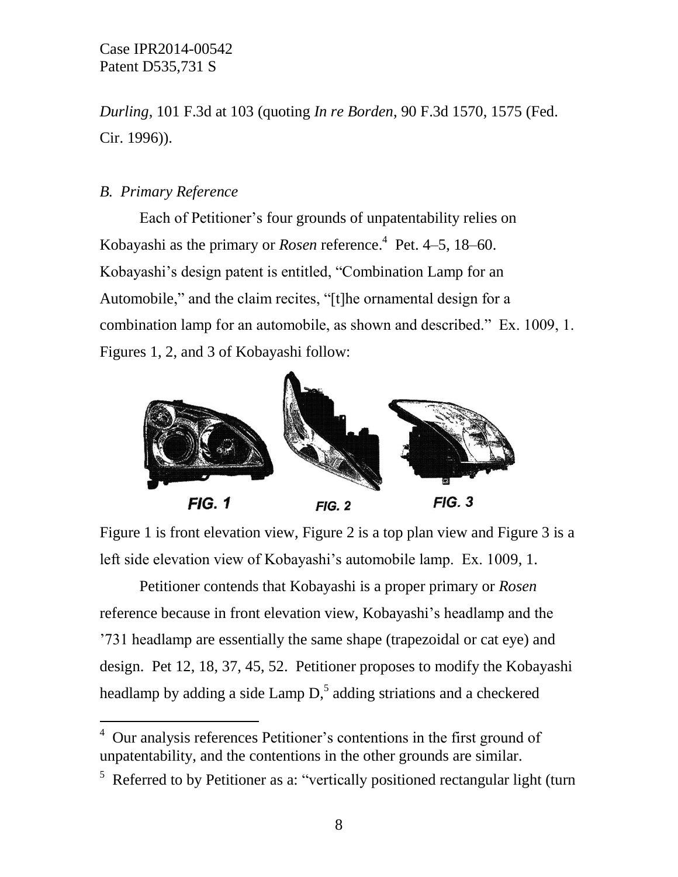*Durling*, 101 F.3d at 103 (quoting *In re Borden*, 90 F.3d 1570, 1575 (Fed. Cir. 1996)).

## *B. Primary Reference*

 $\overline{a}$ 

Each of Petitioner's four grounds of unpatentability relies on Kobayashi as the primary or *Rosen* reference.<sup>4</sup> Pet. 4–5, 18–60. Kobayashi's design patent is entitled, "Combination Lamp for an Automobile," and the claim recites, "[t]he ornamental design for a combination lamp for an automobile, as shown and described." Ex. 1009, 1. Figures 1, 2, and 3 of Kobayashi follow:



Figure 1 is front elevation view, Figure 2 is a top plan view and Figure 3 is a left side elevation view of Kobayashi's automobile lamp. Ex. 1009, 1.

Petitioner contends that Kobayashi is a proper primary or *Rosen* reference because in front elevation view, Kobayashi's headlamp and the '731 headlamp are essentially the same shape (trapezoidal or cat eye) and design. Pet 12, 18, 37, 45, 52. Petitioner proposes to modify the Kobayashi headlamp by adding a side Lamp  $D<sub>1</sub>$ <sup>5</sup> adding striations and a checkered

<sup>&</sup>lt;sup>4</sup> Our analysis references Petitioner's contentions in the first ground of unpatentability, and the contentions in the other grounds are similar.

<sup>&</sup>lt;sup>5</sup> Referred to by Petitioner as a: "vertically positioned rectangular light (turn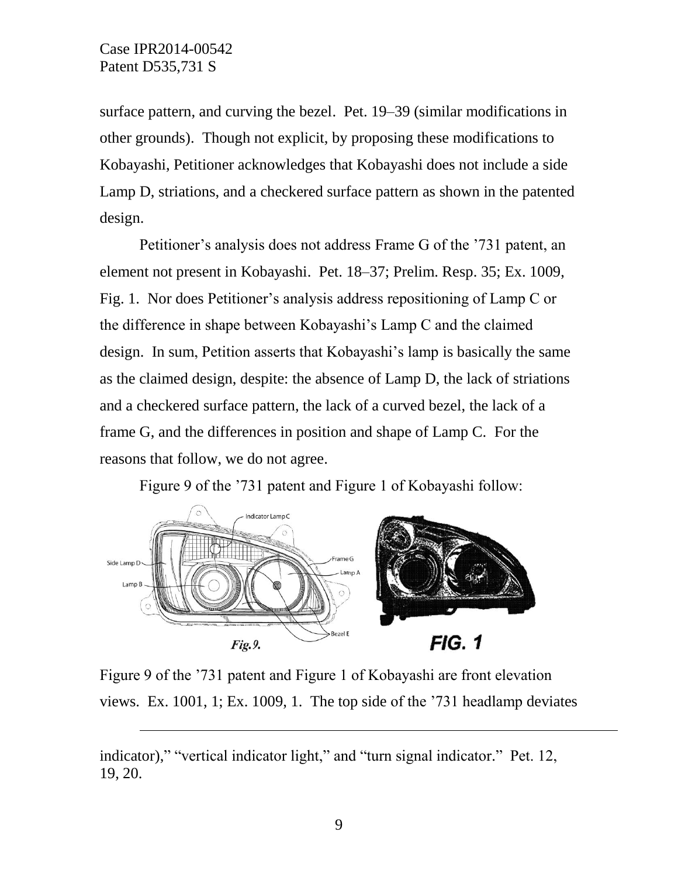$\overline{a}$ 

surface pattern, and curving the bezel. Pet. 19–39 (similar modifications in other grounds). Though not explicit, by proposing these modifications to Kobayashi, Petitioner acknowledges that Kobayashi does not include a side Lamp D, striations, and a checkered surface pattern as shown in the patented design.

Petitioner's analysis does not address Frame G of the '731 patent, an element not present in Kobayashi. Pet. 18–37; Prelim. Resp. 35; Ex. 1009, Fig. 1. Nor does Petitioner's analysis address repositioning of Lamp C or the difference in shape between Kobayashi's Lamp C and the claimed design. In sum, Petition asserts that Kobayashi's lamp is basically the same as the claimed design, despite: the absence of Lamp D, the lack of striations and a checkered surface pattern, the lack of a curved bezel, the lack of a frame G, and the differences in position and shape of Lamp C. For the reasons that follow, we do not agree.

Figure 9 of the '731 patent and Figure 1 of Kobayashi follow:



Figure 9 of the '731 patent and Figure 1 of Kobayashi are front elevation views. Ex. 1001, 1; Ex. 1009, 1. The top side of the '731 headlamp deviates

indicator)," "vertical indicator light," and "turn signal indicator." Pet. 12, 19, 20.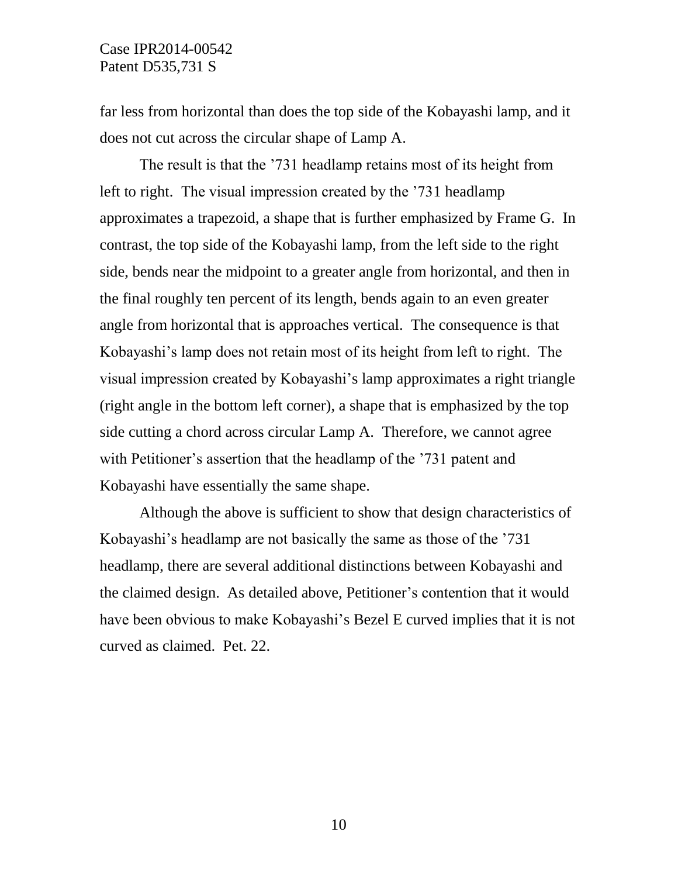far less from horizontal than does the top side of the Kobayashi lamp, and it does not cut across the circular shape of Lamp A.

The result is that the '731 headlamp retains most of its height from left to right. The visual impression created by the '731 headlamp approximates a trapezoid, a shape that is further emphasized by Frame G. In contrast, the top side of the Kobayashi lamp, from the left side to the right side, bends near the midpoint to a greater angle from horizontal, and then in the final roughly ten percent of its length, bends again to an even greater angle from horizontal that is approaches vertical. The consequence is that Kobayashi's lamp does not retain most of its height from left to right. The visual impression created by Kobayashi's lamp approximates a right triangle (right angle in the bottom left corner), a shape that is emphasized by the top side cutting a chord across circular Lamp A. Therefore, we cannot agree with Petitioner's assertion that the headlamp of the '731 patent and Kobayashi have essentially the same shape.

Although the above is sufficient to show that design characteristics of Kobayashi's headlamp are not basically the same as those of the '731 headlamp, there are several additional distinctions between Kobayashi and the claimed design. As detailed above, Petitioner's contention that it would have been obvious to make Kobayashi's Bezel E curved implies that it is not curved as claimed. Pet. 22.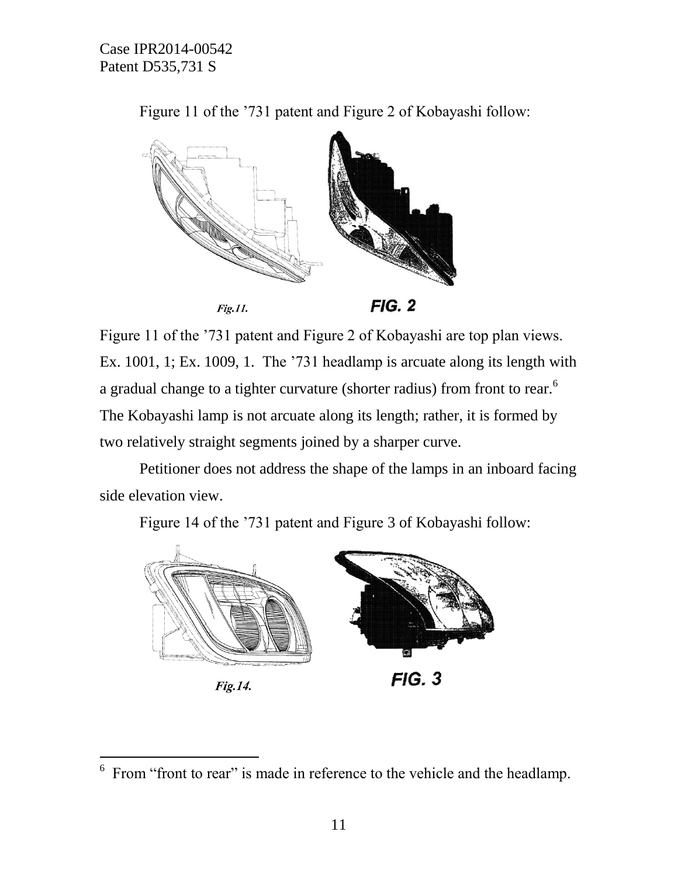Figure 11 of the '731 patent and Figure 2 of Kobayashi follow:



Figure 11 of the '731 patent and Figure 2 of Kobayashi are top plan views. Ex. 1001, 1; Ex. 1009, 1. The '731 headlamp is arcuate along its length with a gradual change to a tighter curvature (shorter radius) from front to rear.<sup>6</sup> The Kobayashi lamp is not arcuate along its length; rather, it is formed by two relatively straight segments joined by a sharper curve.

Petitioner does not address the shape of the lamps in an inboard facing side elevation view.

Figure 14 of the '731 patent and Figure 3 of Kobayashi follow:



l <sup>6</sup> From "front to rear" is made in reference to the vehicle and the headlamp.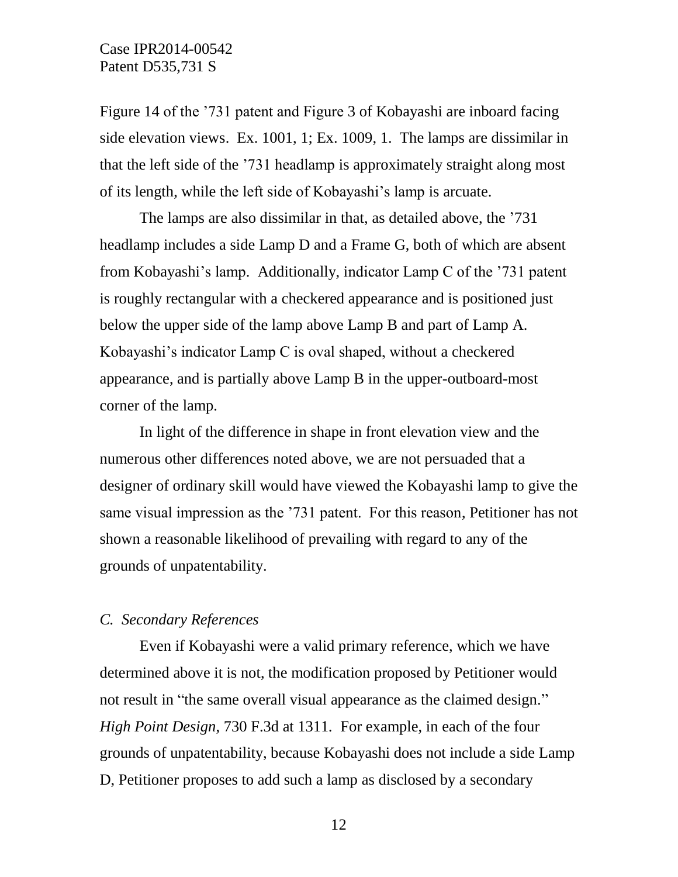Figure 14 of the '731 patent and Figure 3 of Kobayashi are inboard facing side elevation views. Ex. 1001, 1; Ex. 1009, 1. The lamps are dissimilar in that the left side of the '731 headlamp is approximately straight along most of its length, while the left side of Kobayashi's lamp is arcuate.

The lamps are also dissimilar in that, as detailed above, the '731 headlamp includes a side Lamp D and a Frame G, both of which are absent from Kobayashi's lamp. Additionally, indicator Lamp C of the '731 patent is roughly rectangular with a checkered appearance and is positioned just below the upper side of the lamp above Lamp B and part of Lamp A. Kobayashi's indicator Lamp C is oval shaped, without a checkered appearance, and is partially above Lamp B in the upper-outboard-most corner of the lamp.

In light of the difference in shape in front elevation view and the numerous other differences noted above, we are not persuaded that a designer of ordinary skill would have viewed the Kobayashi lamp to give the same visual impression as the '731 patent. For this reason, Petitioner has not shown a reasonable likelihood of prevailing with regard to any of the grounds of unpatentability.

### *C. Secondary References*

Even if Kobayashi were a valid primary reference, which we have determined above it is not, the modification proposed by Petitioner would not result in "the same overall visual appearance as the claimed design." *High Point Design*, 730 F.3d at 1311*.* For example, in each of the four grounds of unpatentability, because Kobayashi does not include a side Lamp D, Petitioner proposes to add such a lamp as disclosed by a secondary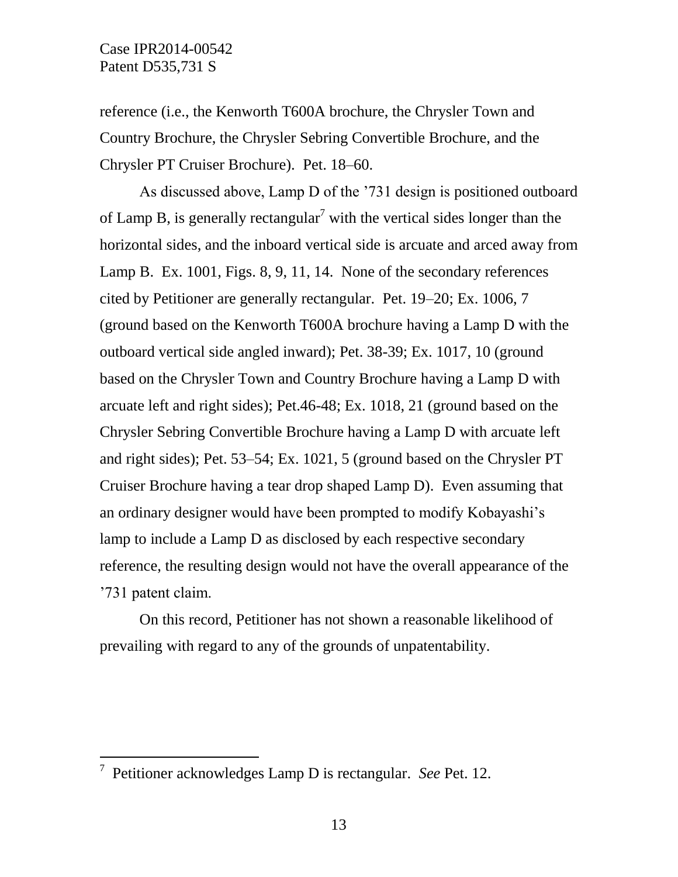reference (i.e., the Kenworth T600A brochure, the Chrysler Town and Country Brochure, the Chrysler Sebring Convertible Brochure, and the Chrysler PT Cruiser Brochure). Pet. 18–60.

As discussed above, Lamp D of the '731 design is positioned outboard of Lamp B, is generally rectangular<sup>7</sup> with the vertical sides longer than the horizontal sides, and the inboard vertical side is arcuate and arced away from Lamp B. Ex. 1001, Figs. 8, 9, 11, 14. None of the secondary references cited by Petitioner are generally rectangular. Pet. 19–20; Ex. 1006, 7 (ground based on the Kenworth T600A brochure having a Lamp D with the outboard vertical side angled inward); Pet. 38-39; Ex. 1017, 10 (ground based on the Chrysler Town and Country Brochure having a Lamp D with arcuate left and right sides); Pet.46-48; Ex. 1018, 21 (ground based on the Chrysler Sebring Convertible Brochure having a Lamp D with arcuate left and right sides); Pet. 53–54; Ex. 1021, 5 (ground based on the Chrysler PT Cruiser Brochure having a tear drop shaped Lamp D). Even assuming that an ordinary designer would have been prompted to modify Kobayashi's lamp to include a Lamp D as disclosed by each respective secondary reference, the resulting design would not have the overall appearance of the '731 patent claim.

On this record, Petitioner has not shown a reasonable likelihood of prevailing with regard to any of the grounds of unpatentability.

l

<sup>7</sup> Petitioner acknowledges Lamp D is rectangular. *See* Pet. 12.